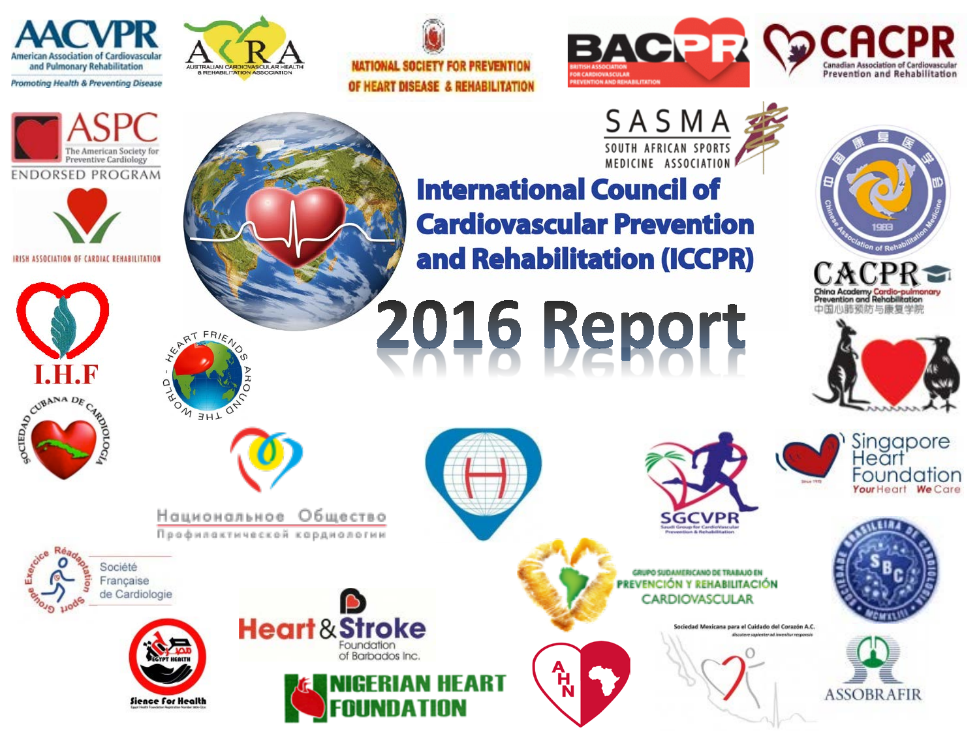







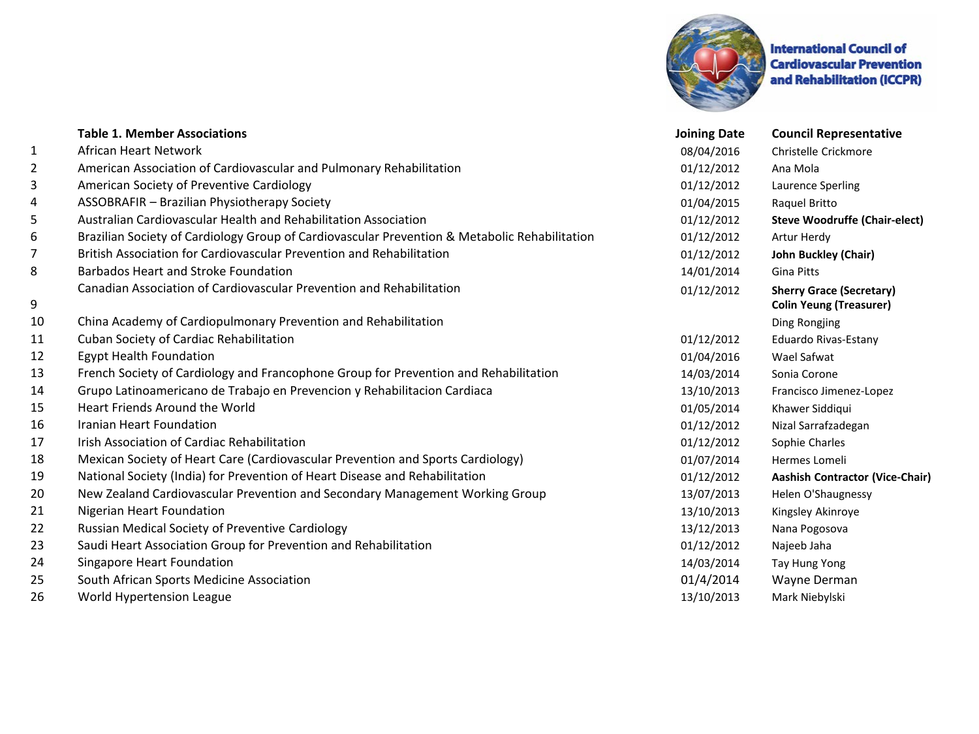

**International Council of Cardiovascular Prevention** and Rehabilitation (ICCPR)

|    | <b>Table 1. Member Associations</b>                                                           | <b>Joining Date</b> | <b>Council Representative</b>                                     |
|----|-----------------------------------------------------------------------------------------------|---------------------|-------------------------------------------------------------------|
| 1  | African Heart Network                                                                         | 08/04/2016          | Christelle Crickmore                                              |
| 2  | American Association of Cardiovascular and Pulmonary Rehabilitation                           | 01/12/2012          | Ana Mola                                                          |
| 3  | American Society of Preventive Cardiology                                                     | 01/12/2012          | Laurence Sperling                                                 |
| 4  | ASSOBRAFIR - Brazilian Physiotherapy Society                                                  | 01/04/2015          | Raquel Britto                                                     |
| 5  | Australian Cardiovascular Health and Rehabilitation Association                               | 01/12/2012          | <b>Steve Woodruffe (Chair-elect)</b>                              |
| 6  | Brazilian Society of Cardiology Group of Cardiovascular Prevention & Metabolic Rehabilitation | 01/12/2012          | Artur Herdy                                                       |
| 7  | British Association for Cardiovascular Prevention and Rehabilitation                          | 01/12/2012          | John Buckley (Chair)                                              |
| 8  | Barbados Heart and Stroke Foundation                                                          | 14/01/2014          | <b>Gina Pitts</b>                                                 |
| 9  | Canadian Association of Cardiovascular Prevention and Rehabilitation                          | 01/12/2012          | <b>Sherry Grace (Secretary)</b><br><b>Colin Yeung (Treasurer)</b> |
| 10 | China Academy of Cardiopulmonary Prevention and Rehabilitation                                |                     | Ding Rongjing                                                     |
| 11 | Cuban Society of Cardiac Rehabilitation                                                       | 01/12/2012          | Eduardo Rivas-Estany                                              |
| 12 | <b>Egypt Health Foundation</b>                                                                | 01/04/2016          | Wael Safwat                                                       |
| 13 | French Society of Cardiology and Francophone Group for Prevention and Rehabilitation          | 14/03/2014          | Sonia Corone                                                      |
| 14 | Grupo Latinoamericano de Trabajo en Prevencion y Rehabilitacion Cardiaca                      | 13/10/2013          | Francisco Jimenez-Lopez                                           |
| 15 | Heart Friends Around the World                                                                | 01/05/2014          | Khawer Siddiqui                                                   |
| 16 | Iranian Heart Foundation                                                                      | 01/12/2012          | Nizal Sarrafzadegan                                               |
| 17 | Irish Association of Cardiac Rehabilitation                                                   | 01/12/2012          | Sophie Charles                                                    |
| 18 | Mexican Society of Heart Care (Cardiovascular Prevention and Sports Cardiology)               | 01/07/2014          | Hermes Lomeli                                                     |
| 19 | National Society (India) for Prevention of Heart Disease and Rehabilitation                   | 01/12/2012          | <b>Aashish Contractor (Vice-Chair)</b>                            |
| 20 | New Zealand Cardiovascular Prevention and Secondary Management Working Group                  | 13/07/2013          | Helen O'Shaugnessy                                                |
| 21 | Nigerian Heart Foundation                                                                     | 13/10/2013          | Kingsley Akinroye                                                 |
| 22 | Russian Medical Society of Preventive Cardiology                                              | 13/12/2013          | Nana Pogosova                                                     |
| 23 | Saudi Heart Association Group for Prevention and Rehabilitation                               | 01/12/2012          | Najeeb Jaha                                                       |
| 24 | Singapore Heart Foundation                                                                    | 14/03/2014          | Tay Hung Yong                                                     |
| 25 | South African Sports Medicine Association                                                     | 01/4/2014           | Wayne Derman                                                      |
| 26 | World Hypertension League                                                                     | 13/10/2013          | Mark Niebylski                                                    |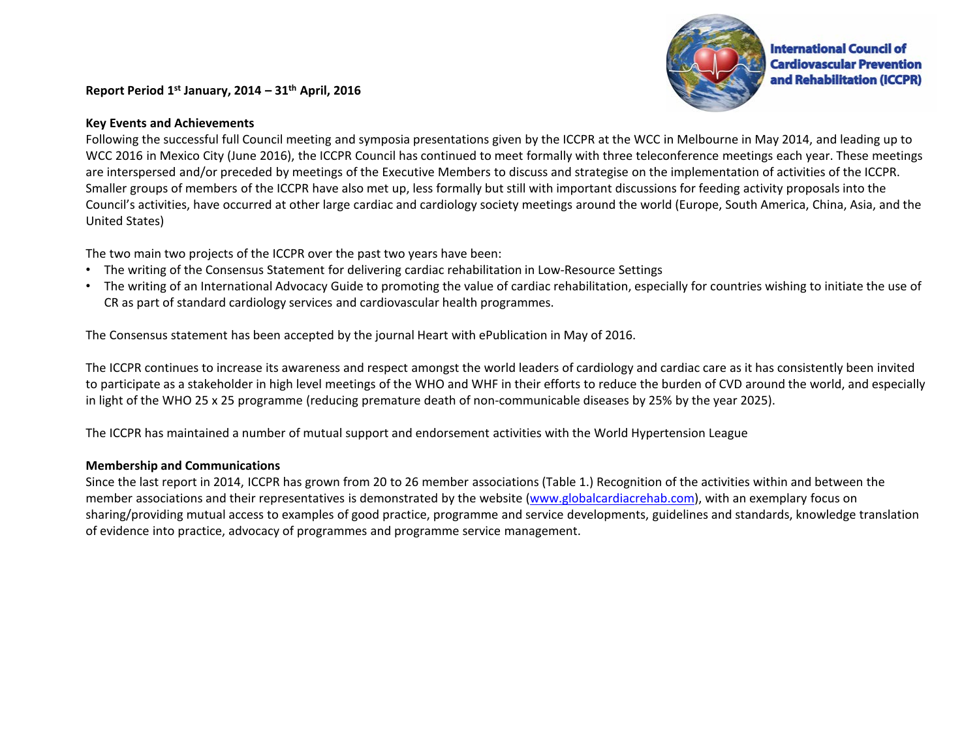**Report Period 1st January, 2014 – 31th April, 2016**



## **Key Events and Achievements**

Following the successful full Council meeting and symposia presentations given by the ICCPR at the WCC in Melbourne in May 2014, and leading up to WCC 2016 in Mexico City (June 2016), the ICCPR Council has continued to meet formally with three teleconference meetings each year. These meetings are interspersed and/or preceded by meetings of the Executive Members to discuss and strategise on the implementation of activities of the ICCPR. Smaller groups of members of the ICCPR have also met up, less formally but still with important discussions for feeding activity proposals into the Council's activities, have occurred at other large cardiac and cardiology society meetings around the world (Europe, South America, China, Asia, and the United States)

The two main two projects of the ICCPR over the past two years have been:

- The writing of the Consensus Statement for delivering cardiac rehabilitation in Low-Resource Settings
- The writing of an International Advocacy Guide to promoting the value of cardiac rehabilitation, especially for countries wishing to initiate the use of CR as part of standard cardiology services and cardiovascular health programmes.

The Consensus statement has been accepted by the journal Heart with ePublication in May of 2016.

The ICCPR continues to increase its awareness and respect amongst the world leaders of cardiology and cardiac care as it has consistently been invited to participate as a stakeholder in high level meetings of the WHO and WHF in their efforts to reduce the burden of CVD around the world, and especially in light of the WHO 25 x 25 programme (reducing premature death of non-communicable diseases by 25% by the year 2025).

The ICCPR has maintained a number of mutual support and endorsement activities with the World Hypertension League

## **Membership and Communications**

Since the last report in 2014, ICCPR has grown from 20 to 26 member associations (Table 1.) Recognition of the activities within and between the member associations and their representatives is demonstrated by the website ([www.globalcardiacrehab.com\)](http://www.cardiacrehab.com), with an exemplary focus on sharing/providing mutual access to examples of good practice, programme and service developments, guidelines and standards, knowledge translation of evidence into practice, advocacy of programmes and programme service management.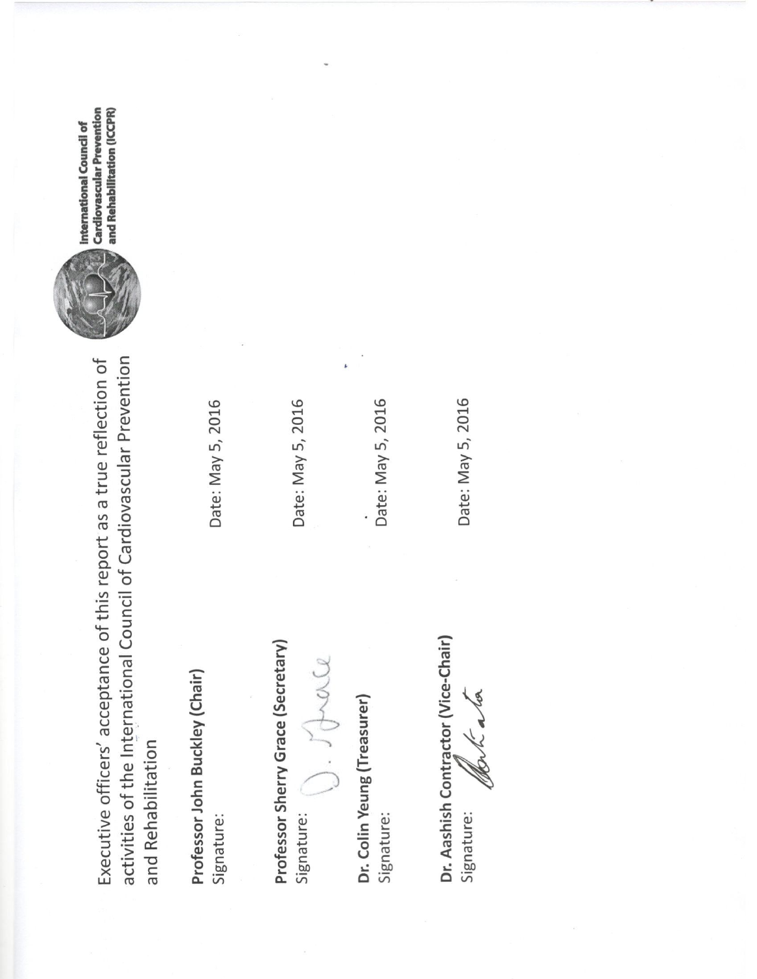activities of the International Council of Cardiovascular Prevention Executive officers' acceptance of this report as a true reflection of and Rehabilitation

Professor John Buckley (Chair) Signature:

Date: May 5, 2016

Professor Sherry Grace (Secretary) Signature:

Date: May 5, 2016

 $rac{9}{2}$ 

Dr. Colin Yeung (Treasurer) Signature:

Date: May 5, 2016

Dr. Aashish Contractor (Vice-Chair) Signature:

Date: May 5, 2016



**Cardiovascular Prevention** and Rehabilitation (ICCPR) International Council of